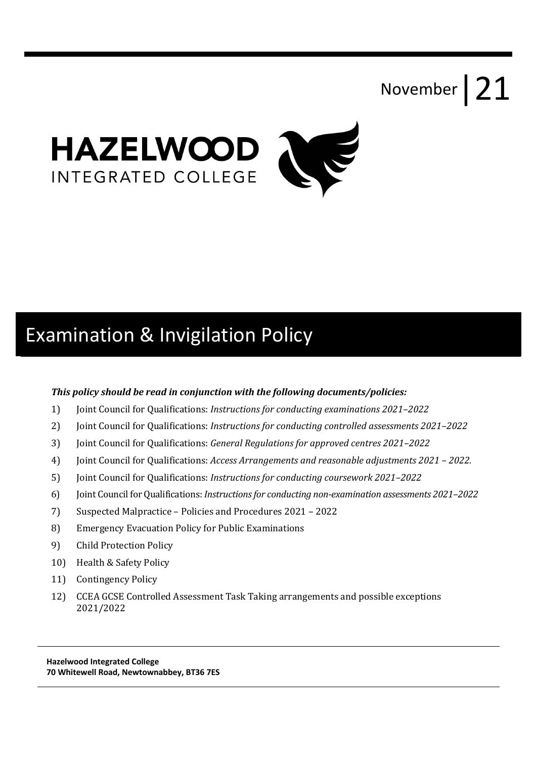# November | 21



# Examination & Invigilation Policy

#### *This policy should be read in conjunction with the following documents/policies:*

- 1) Joint Council for Qualifications: *Instructions for conducting examinations 2021–2022*
- 2) Joint Council for Qualifications: *Instructions for conducting controlled assessments* 2021–2022
- 3) Joint Council for Qualifications: *General Regulations for approved centres 2021–2022*
- 4) Joint Council for Qualifications: *Access Arrangements and reasonable adjustments* 2021 2022.
- 5) Joint Council for Qualifications: *Instructions for conducting coursework* 2021–2022
- 6) Joint Council for Qualifications: *Instructions for conducting non-examination assessments* 2021–2022
- 7) Suspected Malpractice Policies and Procedures 2021 2022
- 8) Emergency Evacuation Policy for Public Examinations
- 9) Child Protection Policy
- 10) Health & Safety Policy
- 11) Contingency Policy
- 12) CCEA GCSE Controlled Assessment Task Taking arrangements and possible exceptions 2021/2022

 **Hazelwood Integrated College 70 Whitewell Road, Newtownabbey, BT36 7ES**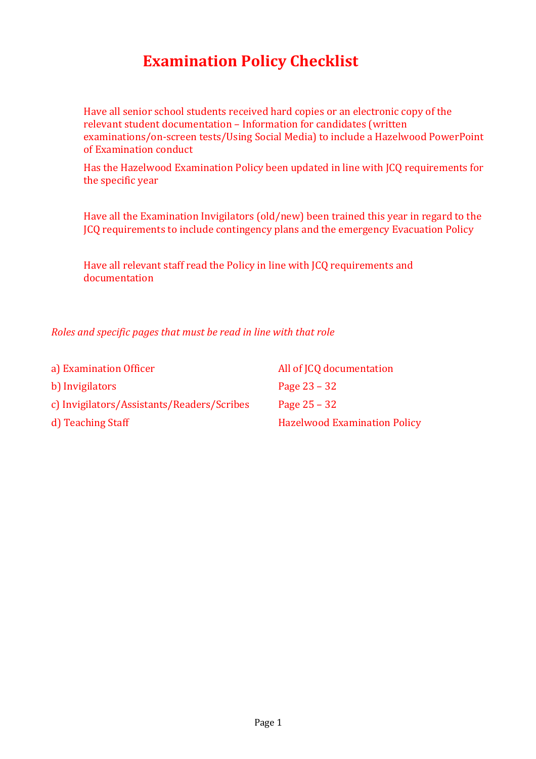# **Examination Policy Checklist**

Have all senior school students received hard copies or an electronic copy of the relevant student documentation - Information for candidates (written examinations/on-screen tests/Using Social Media) to include a Hazelwood PowerPoint of Examination conduct

Has the Hazelwood Examination Policy been updated in line with JCQ requirements for the specific year

Have all the Examination Invigilators  $\left($ old/new) been trained this year in regard to the JCQ requirements to include contingency plans and the emergency Evacuation Policy

Have all relevant staff read the Policy in line with JCQ requirements and documentation

*Roles and specific pages that must be read in line with that role* 

| a) Examination Officer                     | All of JCQ documentation            |
|--------------------------------------------|-------------------------------------|
| b) Invigilators                            | Page $23 - 32$                      |
| c) Invigilators/Assistants/Readers/Scribes | Page $25 - 32$                      |
| d) Teaching Staff                          | <b>Hazelwood Examination Policy</b> |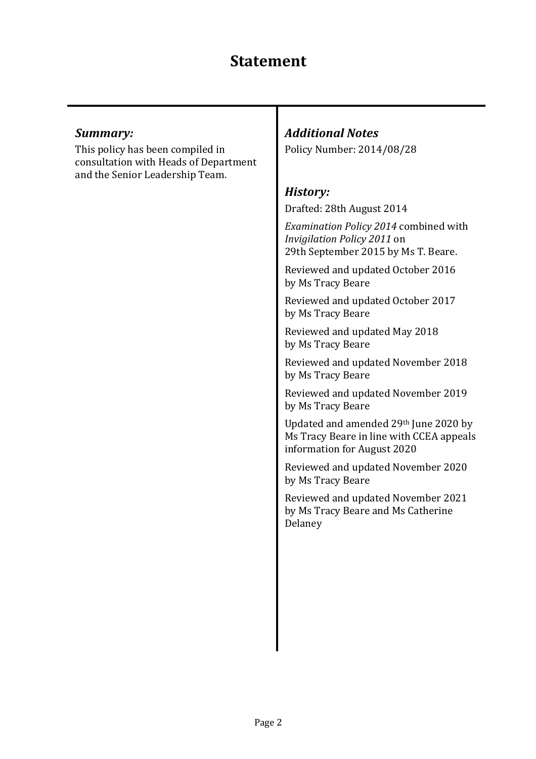#### *Summary:*

This policy has been compiled in consultation with Heads of Department and the Senior Leadership Team.

# *Additional Notes*

Policy Number: 2014/08/28

### *History:*

Drafted: 28th August 2014

*Examination Policy 2014* combined with *Invigilation Policy 2011* on 29th September 2015 by Ms T. Beare.

Reviewed and updated October 2016 by Ms Tracy Beare

Reviewed and updated October 2017 by Ms Tracy Beare

Reviewed and updated May 2018 by Ms Tracy Beare

Reviewed and updated November 2018 by Ms Tracy Beare

Reviewed and updated November 2019 by Ms Tracy Beare

Updated and amended 29th June 2020 by Ms Tracy Beare in line with CCEA appeals information for August 2020

Reviewed and updated November 2020 by Ms Tracy Beare

Reviewed and updated November 2021 by Ms Tracy Beare and Ms Catherine Delaney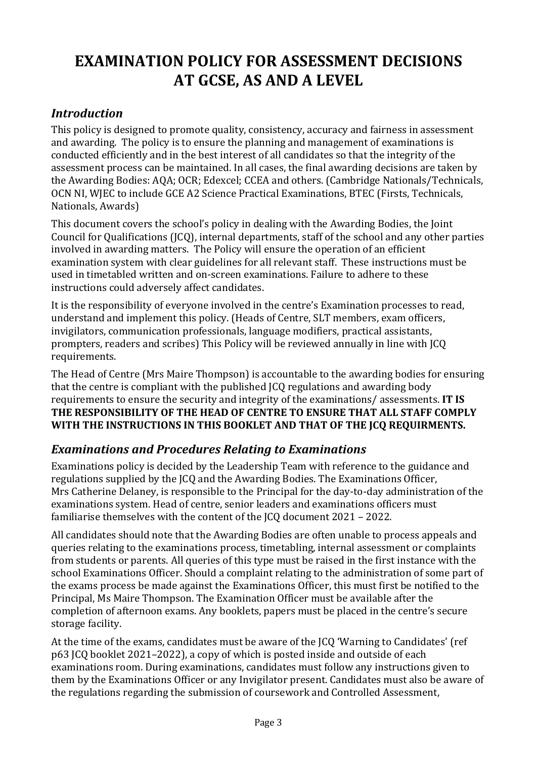# **EXAMINATION POLICY FOR ASSESSMENT DECISIONS AT GCSE, AS AND A LEVEL**

### *Introduction*

This policy is designed to promote quality, consistency, accuracy and fairness in assessment and awarding. The policy is to ensure the planning and management of examinations is conducted efficiently and in the best interest of all candidates so that the integrity of the assessment process can be maintained. In all cases, the final awarding decisions are taken by the Awarding Bodies: AQA; OCR; Edexcel; CCEA and others. (Cambridge Nationals/Technicals, OCN NI, WIEC to include GCE A2 Science Practical Examinations, BTEC (Firsts, Technicals, Nationals, Awards)

This document covers the school's policy in dealing with the Awarding Bodies, the Joint Council for Qualifications (JCQ), internal departments, staff of the school and any other parties involved in awarding matters. The Policy will ensure the operation of an efficient examination system with clear guidelines for all relevant staff. These instructions must be used in timetabled written and on-screen examinations. Failure to adhere to these instructions could adversely affect candidates.

It is the responsibility of everyone involved in the centre's Examination processes to read, understand and implement this policy. (Heads of Centre, SLT members, exam officers, invigilators, communication professionals, language modifiers, practical assistants, prompters, readers and scribes) This Policy will be reviewed annually in line with ICQ requirements.

The Head of Centre (Mrs Maire Thompson) is accountable to the awarding bodies for ensuring that the centre is compliant with the published JCQ regulations and awarding body requirements to ensure the security and integrity of the examinations/ assessments. **IT IS** THE RESPONSIBILITY OF THE HEAD OF CENTRE TO ENSURE THAT ALL STAFF COMPLY WITH THE INSTRUCTIONS IN THIS BOOKLET AND THAT OF THE JCQ REQUIRMENTS.

# **Examinations and Procedures Relating to Examinations**

Examinations policy is decided by the Leadership Team with reference to the guidance and regulations supplied by the ICQ and the Awarding Bodies. The Examinations Officer, Mrs Catherine Delaney, is responsible to the Principal for the day-to-day administration of the examinations system. Head of centre, senior leaders and examinations officers must familiarise themselves with the content of the  $ICO$  document  $2021 - 2022$ .

All candidates should note that the Awarding Bodies are often unable to process appeals and queries relating to the examinations process, timetabling, internal assessment or complaints from students or parents. All queries of this type must be raised in the first instance with the school Examinations Officer. Should a complaint relating to the administration of some part of the exams process be made against the Examinations Officer, this must first be notified to the Principal, Ms Maire Thompson. The Examination Officer must be available after the completion of afternoon exams. Any booklets, papers must be placed in the centre's secure storage facility.

At the time of the exams, candidates must be aware of the ICQ 'Warning to Candidates' (ref p63 JCQ booklet 2021–2022), a copy of which is posted inside and outside of each examinations room. During examinations, candidates must follow any instructions given to them by the Examinations Officer or any Invigilator present. Candidates must also be aware of the regulations regarding the submission of coursework and Controlled Assessment,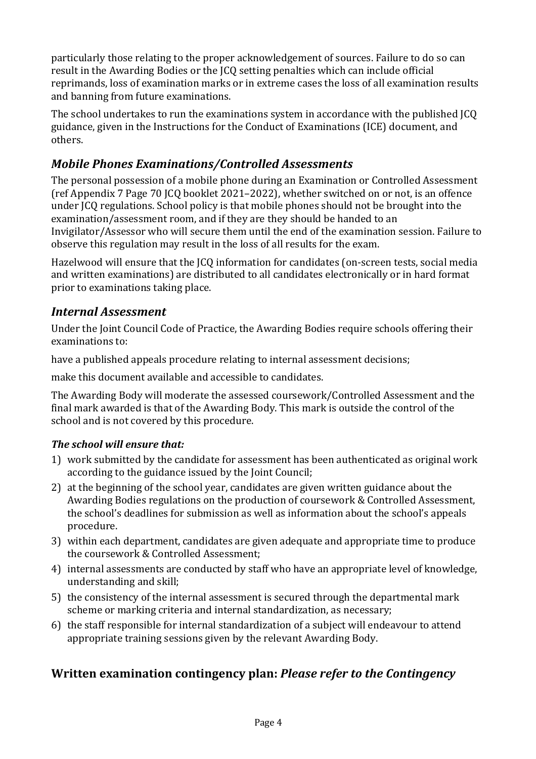particularly those relating to the proper acknowledgement of sources. Failure to do so can result in the Awarding Bodies or the ICQ setting penalties which can include official reprimands, loss of examination marks or in extreme cases the loss of all examination results and banning from future examinations.

The school undertakes to run the examinations system in accordance with the published ICO guidance, given in the Instructions for the Conduct of Examinations (ICE) document, and others.

# *Mobile Phones Examinations/Controlled Assessments*

The personal possession of a mobile phone during an Examination or Controlled Assessment (ref Appendix 7 Page 70 ICO booklet 2021–2022), whether switched on or not, is an offence under JCQ regulations. School policy is that mobile phones should not be brought into the examination/assessment room, and if they are they should be handed to an Invigilator/Assessor who will secure them until the end of the examination session. Failure to observe this regulation may result in the loss of all results for the exam.

Hazelwood will ensure that the JCQ information for candidates (on-screen tests, social media and written examinations) are distributed to all candidates electronically or in hard format prior to examinations taking place.

# **Internal Assessment**

Under the Joint Council Code of Practice, the Awarding Bodies require schools offering their examinations to:

have a published appeals procedure relating to internal assessment decisions;

make this document available and accessible to candidates.

The Awarding Body will moderate the assessed coursework/Controlled Assessment and the final mark awarded is that of the Awarding Body. This mark is outside the control of the school and is not covered by this procedure.

#### *The school will ensure that:*

- 1) work submitted by the candidate for assessment has been authenticated as original work according to the guidance issued by the Joint Council;
- 2) at the beginning of the school year, candidates are given written guidance about the Awarding Bodies regulations on the production of coursework & Controlled Assessment, the school's deadlines for submission as well as information about the school's appeals procedure.
- 3) within each department, candidates are given adequate and appropriate time to produce the coursework & Controlled Assessment;
- 4) internal assessments are conducted by staff who have an appropriate level of knowledge, understanding and skill;
- 5) the consistency of the internal assessment is secured through the departmental mark scheme or marking criteria and internal standardization, as necessary;
- 6) the staff responsible for internal standardization of a subject will endeavour to attend appropriate training sessions given by the relevant Awarding Body.

# **Written examination contingency plan: Please refer to the Contingency**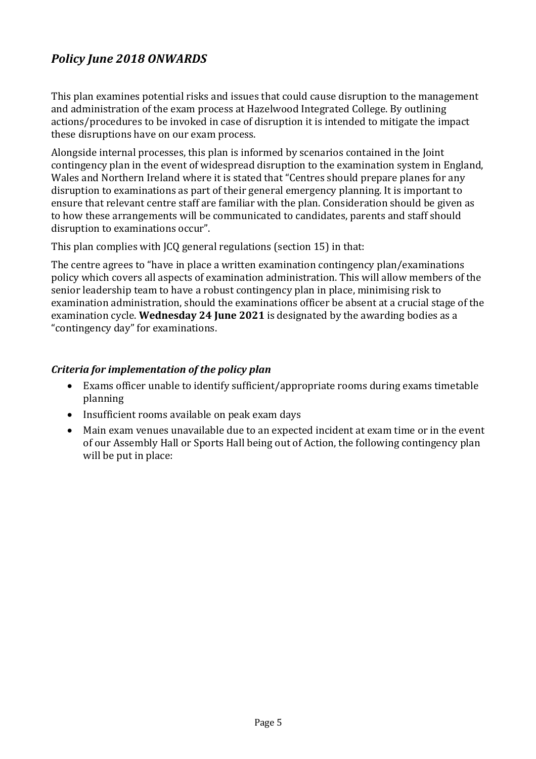# *Policy June 2018 ONWARDS*

This plan examines potential risks and issues that could cause disruption to the management and administration of the exam process at Hazelwood Integrated College. By outlining actions/procedures to be invoked in case of disruption it is intended to mitigate the impact these disruptions have on our exam process.

Alongside internal processes, this plan is informed by scenarios contained in the Joint contingency plan in the event of widespread disruption to the examination system in England, Wales and Northern Ireland where it is stated that "Centres should prepare planes for any disruption to examinations as part of their general emergency planning. It is important to ensure that relevant centre staff are familiar with the plan. Consideration should be given as to how these arrangements will be communicated to candidates, parents and staff should disruption to examinations occur".

This plan complies with  $|CQ|$  general regulations (section 15) in that:

The centre agrees to "have in place a written examination contingency plan/examinations policy which covers all aspects of examination administration. This will allow members of the senior leadership team to have a robust contingency plan in place, minimising risk to examination administration, should the examinations officer be absent at a crucial stage of the examination cycle. **Wednesday 24 June 2021** is designated by the awarding bodies as a "contingency day" for examinations.

#### *Criteria for implementation of the policy plan*

- Exams officer unable to identify sufficient/appropriate rooms during exams timetable planning
- $\bullet$  Insufficient rooms available on peak exam days
- Main exam venues unavailable due to an expected incident at exam time or in the event of our Assembly Hall or Sports Hall being out of Action, the following contingency plan will be put in place: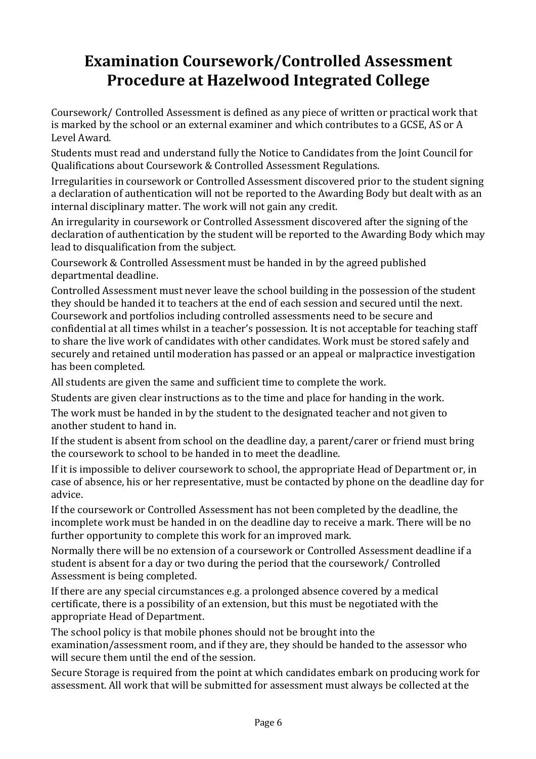# **Examination Coursework/Controlled Assessment Procedure at Hazelwood Integrated College**

Coursework/ Controlled Assessment is defined as any piece of written or practical work that is marked by the school or an external examiner and which contributes to a GCSE, AS or A Level Award.

Students must read and understand fully the Notice to Candidates from the Joint Council for Qualifications about Coursework & Controlled Assessment Regulations.

Irregularities in coursework or Controlled Assessment discovered prior to the student signing a declaration of authentication will not be reported to the Awarding Body but dealt with as an internal disciplinary matter. The work will not gain any credit.

An irregularity in coursework or Controlled Assessment discovered after the signing of the declaration of authentication by the student will be reported to the Awarding Body which may lead to disqualification from the subject.

Coursework & Controlled Assessment must be handed in by the agreed published departmental deadline.

Controlled Assessment must never leave the school building in the possession of the student they should be handed it to teachers at the end of each session and secured until the next. Coursework and portfolios including controlled assessments need to be secure and confidential at all times whilst in a teacher's possession. It is not acceptable for teaching staff to share the live work of candidates with other candidates. Work must be stored safely and securely and retained until moderation has passed or an appeal or malpractice investigation has been completed.

All students are given the same and sufficient time to complete the work.

Students are given clear instructions as to the time and place for handing in the work.

The work must be handed in by the student to the designated teacher and not given to another student to hand in.

If the student is absent from school on the deadline day, a parent/carer or friend must bring the coursework to school to be handed in to meet the deadline.

If it is impossible to deliver coursework to school, the appropriate Head of Department or, in case of absence, his or her representative, must be contacted by phone on the deadline day for advice.

If the coursework or Controlled Assessment has not been completed by the deadline, the incomplete work must be handed in on the deadline day to receive a mark. There will be no further opportunity to complete this work for an improved mark.

Normally there will be no extension of a coursework or Controlled Assessment deadline if a student is absent for a day or two during the period that the coursework/ Controlled Assessment is being completed.

If there are any special circumstances  $e.g.$  a prolonged absence covered by a medical certificate, there is a possibility of an extension, but this must be negotiated with the appropriate Head of Department.

The school policy is that mobile phones should not be brought into the examination/assessment room, and if they are, they should be handed to the assessor who will secure them until the end of the session.

Secure Storage is required from the point at which candidates embark on producing work for assessment. All work that will be submitted for assessment must always be collected at the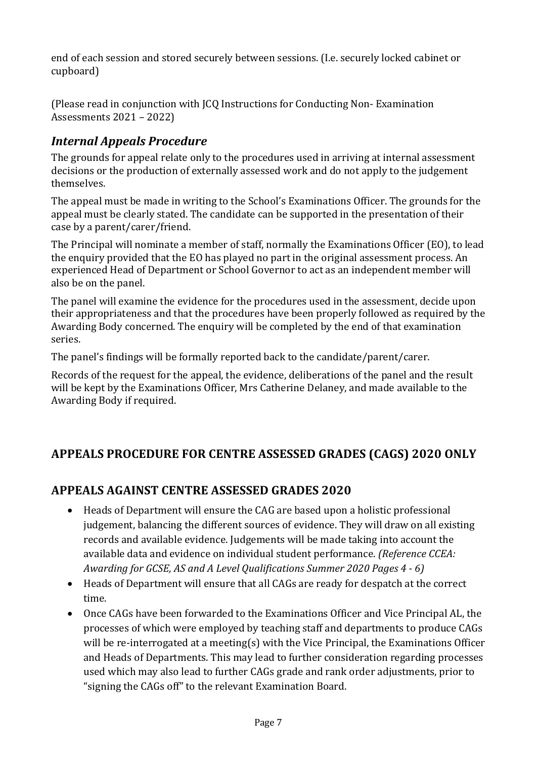end of each session and stored securely between sessions. (I.e. securely locked cabinet or cupboard)

(Please read in conjunction with ICO Instructions for Conducting Non- Examination Assessments 2021 – 2022)

# *Internal Appeals Procedure*

The grounds for appeal relate only to the procedures used in arriving at internal assessment decisions or the production of externally assessed work and do not apply to the judgement themselves.

The appeal must be made in writing to the School's Examinations Officer. The grounds for the appeal must be clearly stated. The candidate can be supported in the presentation of their case by a parent/carer/friend.

The Principal will nominate a member of staff, normally the Examinations Officer (EO), to lead the enquiry provided that the EO has played no part in the original assessment process. An experienced Head of Department or School Governor to act as an independent member will also be on the panel.

The panel will examine the evidence for the procedures used in the assessment, decide upon their appropriateness and that the procedures have been properly followed as required by the Awarding Body concerned. The enquiry will be completed by the end of that examination series.

The panel's findings will be formally reported back to the candidate/parent/carer.

Records of the request for the appeal, the evidence, deliberations of the panel and the result will be kept by the Examinations Officer, Mrs Catherine Delaney, and made available to the Awarding Body if required.

# APPEALS PROCEDURE FOR CENTRE ASSESSED GRADES (CAGS) 2020 ONLY

# **APPEALS AGAINST CENTRE ASSESSED GRADES 2020**

- Heads of Department will ensure the CAG are based upon a holistic professional judgement, balancing the different sources of evidence. They will draw on all existing records and available evidence. Judgements will be made taking into account the available data and evidence on individual student performance. *(Reference CCEA: Awarding for GCSE, AS and A Level Qualifications Summer 2020 Pages 4 - 6)*
- Heads of Department will ensure that all CAGs are ready for despatch at the correct time.
- Once CAGs have been forwarded to the Examinations Officer and Vice Principal AL, the processes of which were employed by teaching staff and departments to produce CAGs will be re-interrogated at a meeting(s) with the Vice Principal, the Examinations Officer and Heads of Departments. This may lead to further consideration regarding processes used which may also lead to further CAGs grade and rank order adjustments, prior to "signing the CAGs off" to the relevant Examination Board.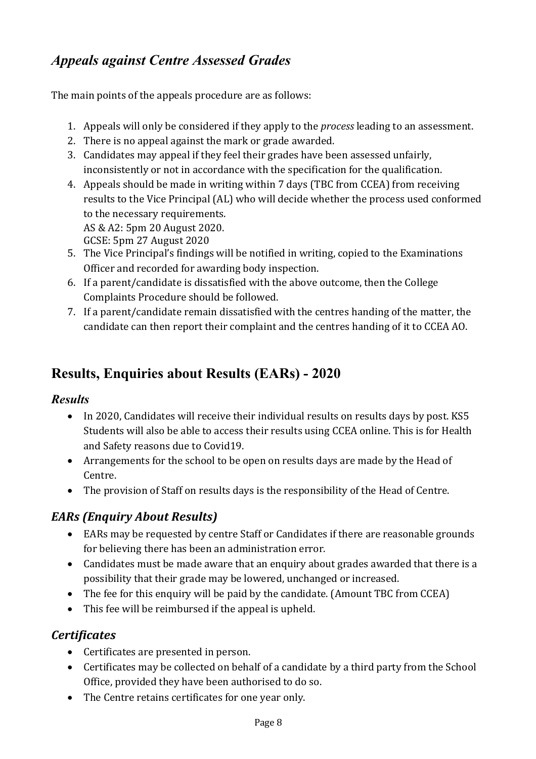# *Appeals against Centre Assessed Grades*

The main points of the appeals procedure are as follows:

- 1. Appeals will only be considered if they apply to the *process* leading to an assessment.
- 2. There is no appeal against the mark or grade awarded.
- 3. Candidates may appeal if they feel their grades have been assessed unfairly, inconsistently or not in accordance with the specification for the qualification.
- 4. Appeals should be made in writing within 7 days (TBC from CCEA) from receiving results to the Vice Principal (AL) who will decide whether the process used conformed to the necessary requirements.

AS & A2: 5pm 20 August 2020. 

- GCSE: 5pm 27 August 2020
- 5. The Vice Principal's findings will be notified in writing, copied to the Examinations Officer and recorded for awarding body inspection.
- 6. If a parent/candidate is dissatisfied with the above outcome, then the College Complaints Procedure should be followed.
- 7. If a parent/candidate remain dissatisfied with the centres handing of the matter, the candidate can then report their complaint and the centres handing of it to CCEA AO.

# **Results, Enquiries about Results (EARs) - 2020**

# *Results*

- In 2020, Candidates will receive their individual results on results days by post. KS5 Students will also be able to access their results using CCEA online. This is for Health and Safety reasons due to Covid19.
- Arrangements for the school to be open on results days are made by the Head of Centre.
- The provision of Staff on results days is the responsibility of the Head of Centre.

# *EARs (Enquiry About Results)*

- EARs may be requested by centre Staff or Candidates if there are reasonable grounds for believing there has been an administration error.
- Candidates must be made aware that an enquiry about grades awarded that there is a possibility that their grade may be lowered, unchanged or increased.
- The fee for this enquiry will be paid by the candidate. (Amount TBC from CCEA)
- $\bullet$  This fee will be reimbursed if the appeal is upheld.

# *Certificates*

- Certificates are presented in person.
- Certificates may be collected on behalf of a candidate by a third party from the School Office, provided they have been authorised to do so.
- The Centre retains certificates for one year only.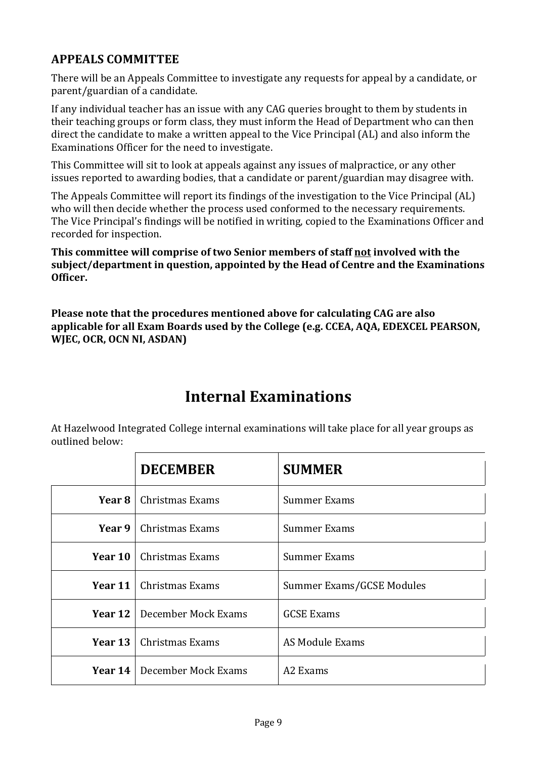# **APPEALS COMMITTEE**

There will be an Appeals Committee to investigate any requests for appeal by a candidate, or parent/guardian of a candidate.

If any individual teacher has an issue with any CAG queries brought to them by students in their teaching groups or form class, they must inform the Head of Department who can then direct the candidate to make a written appeal to the Vice Principal (AL) and also inform the Examinations Officer for the need to investigate.

This Committee will sit to look at appeals against any issues of malpractice, or any other issues reported to awarding bodies, that a candidate or parent/guardian may disagree with.

The Appeals Committee will report its findings of the investigation to the Vice Principal (AL) who will then decide whether the process used conformed to the necessary requirements. The Vice Principal's findings will be notified in writing, copied to the Examinations Officer and recorded for inspection.

**This committee will comprise of two Senior members of staff not involved with the** subject/department in question, appointed by the Head of Centre and the Examinations **Officer.**

**Please note that the procedures mentioned above for calculating CAG are also** applicable for all Exam Boards used by the College (e.g. CCEA, AQA, EDEXCEL PEARSON, **WJEC, OCR, OCN NI, ASDAN)** 

# **Internal Examinations**

At Hazelwood Integrated College internal examinations will take place for all year groups as outlined below:

|                | <b>DECEMBER</b>                    | <b>SUMMER</b>             |
|----------------|------------------------------------|---------------------------|
| <b>Year 8</b>  | Christmas Exams                    | <b>Summer Exams</b>       |
| Year 9         | Christmas Exams                    | <b>Summer Exams</b>       |
|                | <b>Year 10</b>   Christmas Exams   | Summer Exams              |
| Year 11        | Christmas Exams                    | Summer Exams/GCSE Modules |
|                | <b>Year 12</b> December Mock Exams | <b>GCSE Exams</b>         |
| Year 13        | Christmas Exams                    | AS Module Exams           |
| <b>Year 14</b> | December Mock Exams                | A <sub>2</sub> Exams      |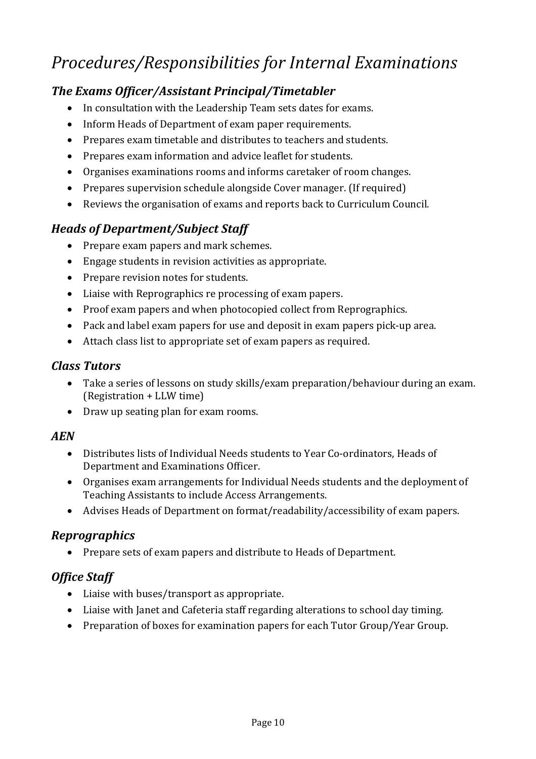# *Procedures/Responsibilities for Internal Examinations*

# **The Exams Officer/Assistant Principal/Timetabler**

- In consultation with the Leadership Team sets dates for exams.
- Inform Heads of Department of exam paper requirements.
- Prepares exam timetable and distributes to teachers and students.
- Prepares exam information and advice leaflet for students.
- Organises examinations rooms and informs caretaker of room changes.
- Prepares supervision schedule alongside Cover manager. (If required)
- Reviews the organisation of exams and reports back to Curriculum Council.

# *Heads of Department/Subject Staff*

- Prepare exam papers and mark schemes.
- $\bullet$  Engage students in revision activities as appropriate.
- Prepare revision notes for students.
- Liaise with Reprographics re processing of exam papers.
- Proof exam papers and when photocopied collect from Reprographics.
- Pack and label exam papers for use and deposit in exam papers pick-up area.
- $\bullet$  Attach class list to appropriate set of exam papers as required.

# *Class Tutors*

- Take a series of lessons on study skills/exam preparation/behaviour during an exam. (Registration + LLW time)
- Draw up seating plan for exam rooms.

# *AEN*

- Distributes lists of Individual Needs students to Year Co-ordinators, Heads of Department and Examinations Officer.
- Organises exam arrangements for Individual Needs students and the deployment of Teaching Assistants to include Access Arrangements.
- Advises Heads of Department on format/readability/accessibility of exam papers.

# *Reprographics*

• Prepare sets of exam papers and distribute to Heads of Department.

# *Office Staff*

- Liaise with buses/transport as appropriate.
- Liaise with lanet and Cafeteria staff regarding alterations to school day timing.
- Preparation of boxes for examination papers for each Tutor Group/Year Group.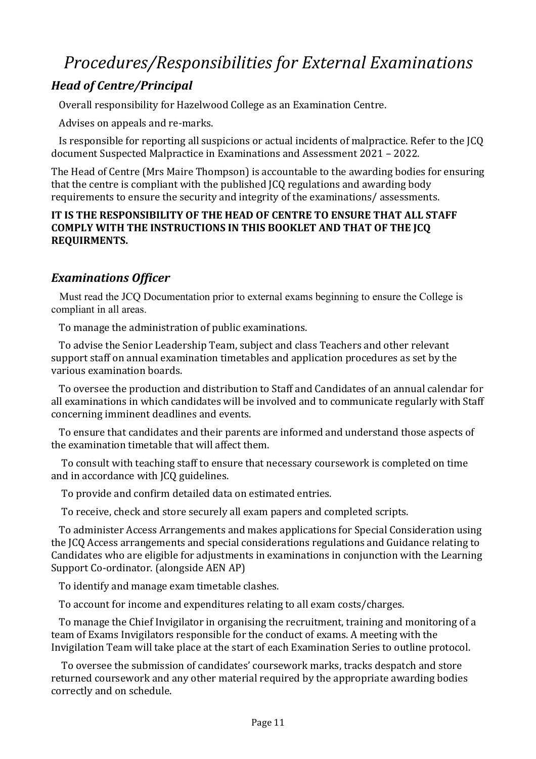# *Procedures/Responsibilities for External Examinations*

# *Head of Centre/Principal*

Overall responsibility for Hazelwood College as an Examination Centre.

Advises on appeals and re-marks.

Is responsible for reporting all suspicions or actual incidents of malpractice. Refer to the JCQ document Suspected Malpractice in Examinations and Assessment 2021 - 2022.

The Head of Centre (Mrs Maire Thompson) is accountable to the awarding bodies for ensuring that the centre is compliant with the published ICQ regulations and awarding body requirements to ensure the security and integrity of the examinations/ assessments.

#### **IT IS THE RESPONSIBILITY OF THE HEAD OF CENTRE TO ENSURE THAT ALL STAFF COMPLY WITH THE INSTRUCTIONS IN THIS BOOKLET AND THAT OF THE JCQ REQUIRMENTS.**

# *Examinations Officer*

 Must read the JCQ Documentation prior to external exams beginning to ensure the College is compliant in all areas.

To manage the administration of public examinations.

To advise the Senior Leadership Team, subject and class Teachers and other relevant support staff on annual examination timetables and application procedures as set by the various examination boards.

To oversee the production and distribution to Staff and Candidates of an annual calendar for all examinations in which candidates will be involved and to communicate regularly with Staff concerning imminent deadlines and events.

To ensure that candidates and their parents are informed and understand those aspects of the examination timetable that will affect them.

To consult with teaching staff to ensure that necessary coursework is completed on time and in accordance with JCQ guidelines.

To provide and confirm detailed data on estimated entries.

To receive, check and store securely all exam papers and completed scripts.

To administer Access Arrangements and makes applications for Special Consideration using the JCQ Access arrangements and special considerations regulations and Guidance relating to Candidates who are eligible for adjustments in examinations in conjunction with the Learning Support Co-ordinator. (alongside AEN AP)

To identify and manage exam timetable clashes.

To account for income and expenditures relating to all exam costs/charges.

To manage the Chief Invigilator in organising the recruitment, training and monitoring of a team of Exams Invigilators responsible for the conduct of exams. A meeting with the Invigilation Team will take place at the start of each Examination Series to outline protocol.

To oversee the submission of candidates' coursework marks, tracks despatch and store returned coursework and any other material required by the appropriate awarding bodies correctly and on schedule.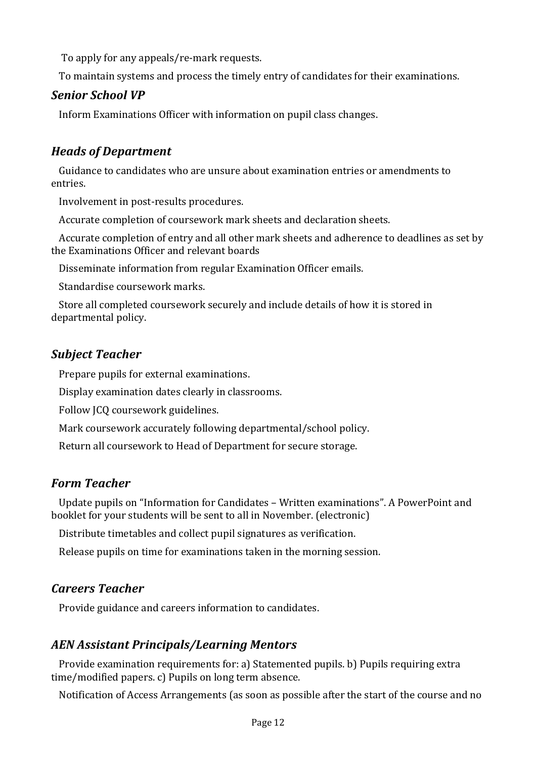To apply for any appeals/re-mark requests.

To maintain systems and process the timely entry of candidates for their examinations.

### *Senior School VP*

Inform Examinations Officer with information on pupil class changes.

# *Heads of Department*

Guidance to candidates who are unsure about examination entries or amendments to entries.

Involvement in post-results procedures.

Accurate completion of coursework mark sheets and declaration sheets.

Accurate completion of entry and all other mark sheets and adherence to deadlines as set by the Examinations Officer and relevant boards

Disseminate information from regular Examination Officer emails.

Standardise coursework marks.

Store all completed coursework securely and include details of how it is stored in departmental policy.

### *Subject Teacher*

Prepare pupils for external examinations.

Display examination dates clearly in classrooms.

Follow ICQ coursework guidelines.

Mark coursework accurately following departmental/school policy.

Return all coursework to Head of Department for secure storage.

#### *Form Teacher*

Update pupils on "Information for Candidates - Written examinations". A PowerPoint and booklet for your students will be sent to all in November. (electronic)

Distribute timetables and collect pupil signatures as verification.

Release pupils on time for examinations taken in the morning session.

# *Careers Teacher*

Provide guidance and careers information to candidates.

# *AEN Assistant Principals/Learning Mentors*

Provide examination requirements for: a) Statemented pupils. b) Pupils requiring extra  $time/modified papers. c)$  Pupils on long term absence.

Notification of Access Arrangements (as soon as possible after the start of the course and no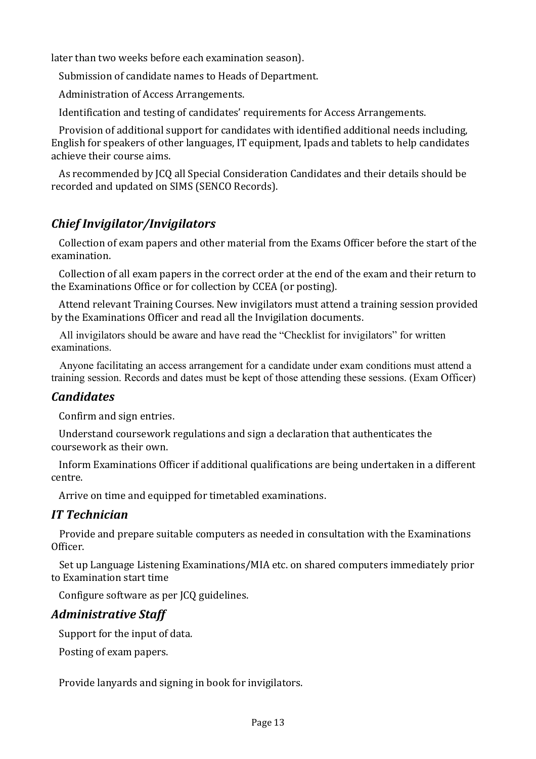later than two weeks before each examination season).

Submission of candidate names to Heads of Department.

Administration of Access Arrangements.

Identification and testing of candidates' requirements for Access Arrangements.

Provision of additional support for candidates with identified additional needs including, English for speakers of other languages, IT equipment, Ipads and tablets to help candidates achieve their course aims.

As recommended by ICQ all Special Consideration Candidates and their details should be recorded and updated on SIMS (SENCO Records).

# *Chief Invigilator/Invigilators*

Collection of exam papers and other material from the Exams Officer before the start of the examination. 

Collection of all exam papers in the correct order at the end of the exam and their return to the Examinations Office or for collection by CCEA (or posting).

Attend relevant Training Courses. New invigilators must attend a training session provided by the Examinations Officer and read all the Invigilation documents.

 All invigilators should be aware and have read the "Checklist for invigilators" for written examinations.

 Anyone facilitating an access arrangement for a candidate under exam conditions must attend a training session. Records and dates must be kept of those attending these sessions. (Exam Officer)

#### *Candidates*

Confirm and sign entries.

Understand coursework regulations and sign a declaration that authenticates the coursework as their own.

Inform Examinations Officer if additional qualifications are being undertaken in a different centre. 

Arrive on time and equipped for timetabled examinations.

#### *IT Technician*

Provide and prepare suitable computers as needed in consultation with the Examinations Officer. 

Set up Language Listening Examinations/MIA etc. on shared computers immediately prior to Examination start time

Configure software as per JCQ guidelines.

# *Administrative Staff*

Support for the input of data.

Posting of exam papers.

Provide lanyards and signing in book for invigilators.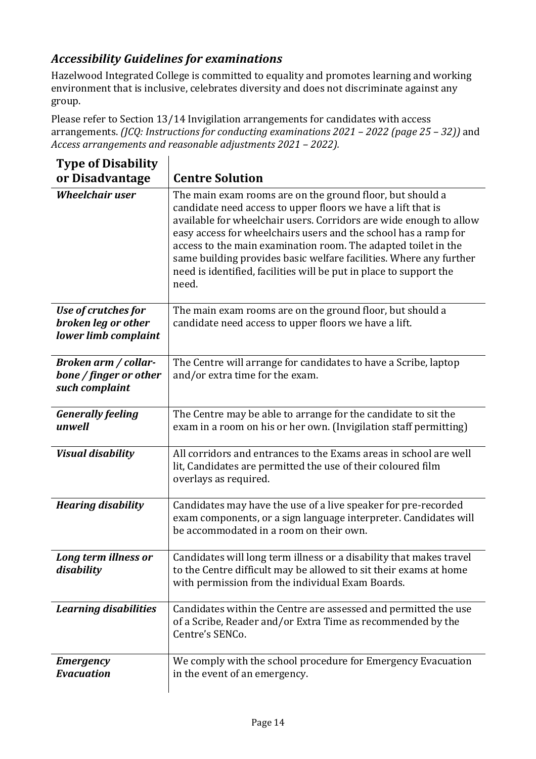# *Accessibility Guidelines for examinations*

Hazelwood Integrated College is committed to equality and promotes learning and working environment that is inclusive, celebrates diversity and does not discriminate against any group. 

Please refer to Section  $13/14$  Invigilation arrangements for candidates with access arrangements. *(JCQ: Instructions for conducting examinations 2021 – 2022 (page 25 – 32))* and *Access arrangements and reasonable adjustments 2021 – 2022).*

| <b>Type of Disability</b>                   |                                                                                                                                                                                                                                                                                                                                                                                                                                                                                           |
|---------------------------------------------|-------------------------------------------------------------------------------------------------------------------------------------------------------------------------------------------------------------------------------------------------------------------------------------------------------------------------------------------------------------------------------------------------------------------------------------------------------------------------------------------|
| or Disadvantage                             | <b>Centre Solution</b>                                                                                                                                                                                                                                                                                                                                                                                                                                                                    |
| <b>Wheelchair user</b>                      | The main exam rooms are on the ground floor, but should a<br>candidate need access to upper floors we have a lift that is<br>available for wheelchair users. Corridors are wide enough to allow<br>easy access for wheelchairs users and the school has a ramp for<br>access to the main examination room. The adapted toilet in the<br>same building provides basic welfare facilities. Where any further<br>need is identified, facilities will be put in place to support the<br>need. |
| Use of crutches for                         | The main exam rooms are on the ground floor, but should a                                                                                                                                                                                                                                                                                                                                                                                                                                 |
| broken leg or other<br>lower limb complaint | candidate need access to upper floors we have a lift.                                                                                                                                                                                                                                                                                                                                                                                                                                     |
| Broken arm / collar-                        | The Centre will arrange for candidates to have a Scribe, laptop                                                                                                                                                                                                                                                                                                                                                                                                                           |
| bone / finger or other<br>such complaint    | and/or extra time for the exam.                                                                                                                                                                                                                                                                                                                                                                                                                                                           |
| <b>Generally feeling</b><br>unwell          | The Centre may be able to arrange for the candidate to sit the<br>exam in a room on his or her own. (Invigilation staff permitting)                                                                                                                                                                                                                                                                                                                                                       |
| <b>Visual disability</b>                    | All corridors and entrances to the Exams areas in school are well<br>lit, Candidates are permitted the use of their coloured film<br>overlays as required.                                                                                                                                                                                                                                                                                                                                |
| <b>Hearing disability</b>                   | Candidates may have the use of a live speaker for pre-recorded<br>exam components, or a sign language interpreter. Candidates will<br>be accommodated in a room on their own.                                                                                                                                                                                                                                                                                                             |
| Long term illness or<br>disability          | Candidates will long term illness or a disability that makes travel<br>to the Centre difficult may be allowed to sit their exams at home<br>with permission from the individual Exam Boards.                                                                                                                                                                                                                                                                                              |
| <b>Learning disabilities</b>                | Candidates within the Centre are assessed and permitted the use<br>of a Scribe, Reader and/or Extra Time as recommended by the<br>Centre's SENCo.                                                                                                                                                                                                                                                                                                                                         |
| <b>Emergency</b>                            | We comply with the school procedure for Emergency Evacuation                                                                                                                                                                                                                                                                                                                                                                                                                              |
| <b>Evacuation</b>                           | in the event of an emergency.                                                                                                                                                                                                                                                                                                                                                                                                                                                             |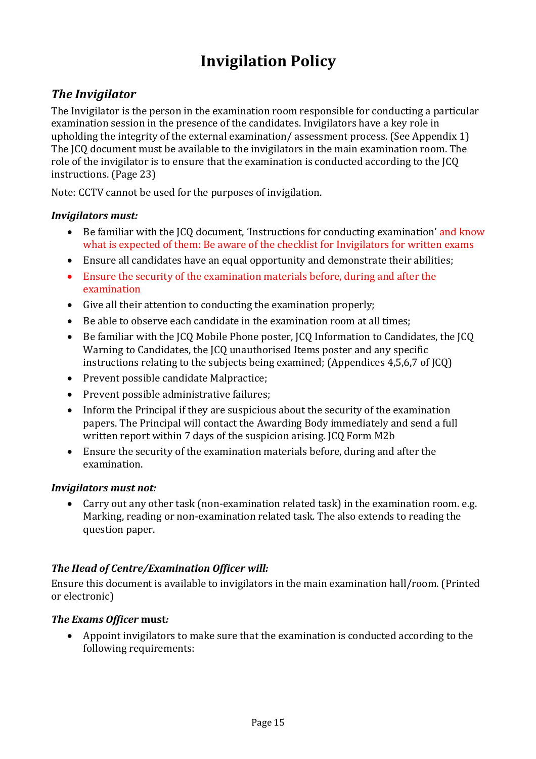# **Invigilation Policy**

# **The Invigilator**

The Invigilator is the person in the examination room responsible for conducting a particular examination session in the presence of the candidates. Invigilators have a key role in upholding the integrity of the external examination/ assessment process. (See Appendix 1) The ICQ document must be available to the invigilators in the main examination room. The role of the invigilator is to ensure that the examination is conducted according to the JCQ instructions. (Page 23)

Note: CCTV cannot be used for the purposes of invigilation.

#### *Invigilators must:*

- Be familiar with the ICQ document, 'Instructions for conducting examination' and know what is expected of them: Be aware of the checklist for Invigilators for written exams
- Ensure all candidates have an equal opportunity and demonstrate their abilities;
- Ensure the security of the examination materials before, during and after the examination
- $\bullet$  Give all their attention to conducting the examination properly;
- Be able to observe each candidate in the examination room at all times;
- Be familiar with the ICQ Mobile Phone poster, ICQ Information to Candidates, the ICQ Warning to Candidates, the JCQ unauthorised Items poster and any specific instructions relating to the subjects being examined; (Appendices  $4,5,6,7$  of JCQ)
- Prevent possible candidate Malpractice;
- $\bullet$  Prevent possible administrative failures;
- Inform the Principal if they are suspicious about the security of the examination papers. The Principal will contact the Awarding Body immediately and send a full written report within 7 days of the suspicion arising. JCQ Form M2b
- Ensure the security of the examination materials before, during and after the examination.

#### *Invigilators* must not:

• Carry out any other task (non-examination related task) in the examination room. e.g. Marking, reading or non-examination related task. The also extends to reading the question paper.

#### *The Head of Centre/Examination Officer will:*

Ensure this document is available to invigilators in the main examination hall/room. (Printed or electronic)

#### *The Exams Officer* **must***:*

• Appoint invigilators to make sure that the examination is conducted according to the following requirements: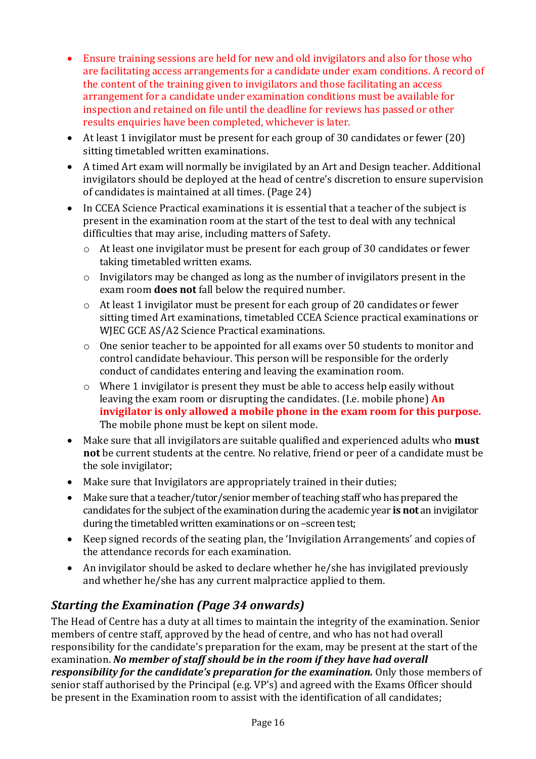- Ensure training sessions are held for new and old invigilators and also for those who are facilitating access arrangements for a candidate under exam conditions. A record of the content of the training given to invigilators and those facilitating an access arrangement for a candidate under examination conditions must be available for inspection and retained on file until the deadline for reviews has passed or other results enquiries have been completed, whichever is later.
- At least 1 invigilator must be present for each group of 30 candidates or fewer (20) sitting timetabled written examinations.
- A timed Art exam will normally be invigilated by an Art and Design teacher. Additional invigilators should be deployed at the head of centre's discretion to ensure supervision of candidates is maintained at all times. (Page 24)
- In CCEA Science Practical examinations it is essential that a teacher of the subject is present in the examination room at the start of the test to deal with any technical difficulties that may arise, including matters of Safety.
	- $\circ$  At least one invigilator must be present for each group of 30 candidates or fewer taking timetabled written exams.
	- $\circ$  Invigilators may be changed as long as the number of invigilators present in the exam room **does not** fall below the required number.
	- $\circ$  At least 1 invigilator must be present for each group of 20 candidates or fewer sitting timed Art examinations, timetabled CCEA Science practical examinations or WJEC GCE AS/A2 Science Practical examinations.
	- o One senior teacher to be appointed for all exams over 50 students to monitor and control candidate behaviour. This person will be responsible for the orderly conduct of candidates entering and leaving the examination room.
	- $\circ$  Where 1 invigilator is present they must be able to access help easily without leaving the exam room or disrupting the candidates. (I.e. mobile phone) **An** invigilator is only allowed a mobile phone in the exam room for this purpose. The mobile phone must be kept on silent mode.
- Make sure that all invigilators are suitable qualified and experienced adults who **must not** be current students at the centre. No relative, friend or peer of a candidate must be the sole invigilator;
- Make sure that Invigilators are appropriately trained in their duties;
- Make sure that a teacher/tutor/senior member of teaching staff who has prepared the candidates for the subject of the examination during the academic year is not an invigilator during the timetabled written examinations or on -screen test;
- Keep signed records of the seating plan, the 'Invigilation Arrangements' and copies of the attendance records for each examination.
- An invigilator should be asked to declare whether he/she has invigilated previously and whether he/she has any current malpractice applied to them.

# *Starting the Examination (Page 34 onwards)*

The Head of Centre has a duty at all times to maintain the integrity of the examination. Senior members of centre staff, approved by the head of centre, and who has not had overall responsibility for the candidate's preparation for the exam, may be present at the start of the examination. No member of staff should be in the room if they have had overall *responsibility for the candidate's preparation for the examination.* Only those members of senior staff authorised by the Principal (e.g. VP's) and agreed with the Exams Officer should be present in the Examination room to assist with the identification of all candidates;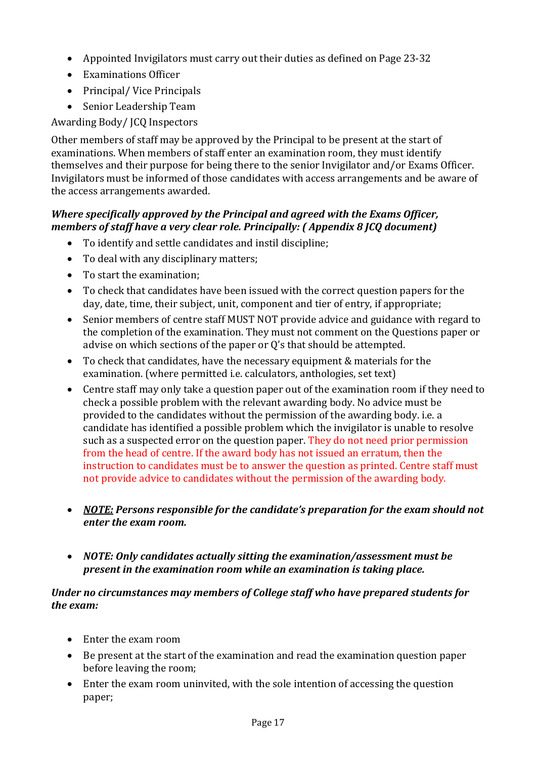- Appointed Invigilators must carry out their duties as defined on Page 23-32
- Examinations Officer
- Principal/ Vice Principals
- Senior Leadership Team

Awarding Body/ JCQ Inspectors

Other members of staff may be approved by the Principal to be present at the start of examinations. When members of staff enter an examination room, they must identify themselves and their purpose for being there to the senior Invigilator and/or Exams Officer. Invigilators must be informed of those candidates with access arrangements and be aware of the access arrangements awarded.

#### *Where specifically approved by the Principal and agreed with the Exams Officer, members of staff have a very clear role. Principally: (Appendix 8 JCQ document)*

- To identify and settle candidates and instil discipline;
- To deal with any disciplinary matters;
- To start the examination;
- To check that candidates have been issued with the correct question papers for the day, date, time, their subject, unit, component and tier of entry, if appropriate;
- Senior members of centre staff MUST NOT provide advice and guidance with regard to the completion of the examination. They must not comment on the Questions paper or advise on which sections of the paper or  $Q$ 's that should be attempted.
- To check that candidates, have the necessary equipment & materials for the examination. (where permitted i.e. calculators, anthologies, set text)
- Centre staff may only take a question paper out of the examination room if they need to check a possible problem with the relevant awarding body. No advice must be provided to the candidates without the permission of the awarding body. i.e. a candidate has identified a possible problem which the invigilator is unable to resolve such as a suspected error on the question paper. They do not need prior permission from the head of centre. If the award body has not issued an erratum, then the instruction to candidates must be to answer the question as printed. Centre staff must not provide advice to candidates without the permission of the awarding body.
- *NOTE: Persons responsible for the candidate's preparation for the exam should not enter the exam room.*
- *NOTE: Only candidates actually sitting the examination/assessment must be present in the examination room while an examination is taking place.*

#### Under no circumstances may members of College staff who have prepared students for *the exam:*

- Enter the exam room
- Be present at the start of the examination and read the examination question paper before leaving the room;
- Enter the exam room uninvited, with the sole intention of accessing the question paper;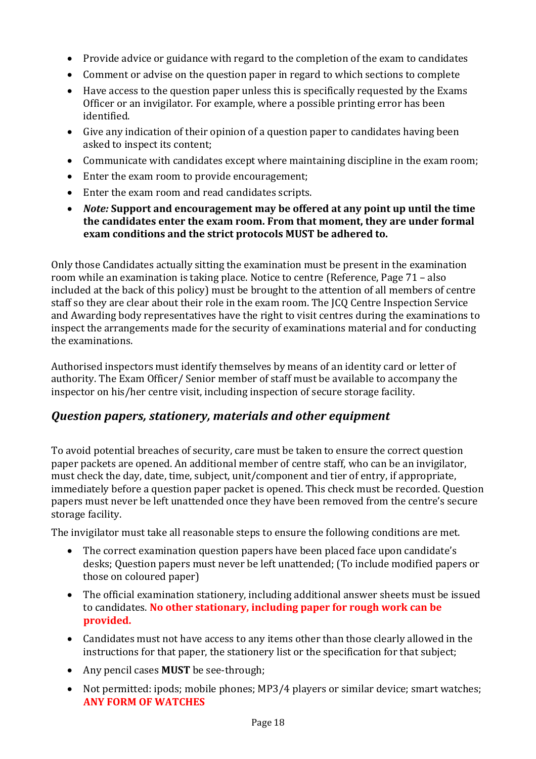- Provide advice or guidance with regard to the completion of the exam to candidates
- Comment or advise on the question paper in regard to which sections to complete
- $\bullet$  Have access to the question paper unless this is specifically requested by the Exams Officer or an invigilator. For example, where a possible printing error has been identified.
- Give any indication of their opinion of a question paper to candidates having been asked to inspect its content;
- Communicate with candidates except where maintaining discipline in the exam room;
- $\bullet$  Enter the exam room to provide encouragement;
- Enter the exam room and read candidates scripts.
- *Note:* Support and encouragement may be offered at any point up until the time the candidates enter the exam room. From that moment, they are under formal **exam conditions and the strict protocols MUST be adhered to.**

Only those Candidates actually sitting the examination must be present in the examination room while an examination is taking place. Notice to centre (Reference, Page  $71 - also$ ) included at the back of this policy) must be brought to the attention of all members of centre staff so they are clear about their role in the exam room. The ICO Centre Inspection Service and Awarding body representatives have the right to visit centres during the examinations to inspect the arrangements made for the security of examinations material and for conducting the examinations.

Authorised inspectors must identify themselves by means of an identity card or letter of authority. The Exam Officer/ Senior member of staff must be available to accompany the inspector on his/her centre visit, including inspection of secure storage facility.

# *Question papers, stationery, materials and other equipment*

To avoid potential breaches of security, care must be taken to ensure the correct question paper packets are opened. An additional member of centre staff, who can be an invigilator, must check the day, date, time, subject, unit/component and tier of entry, if appropriate, immediately before a question paper packet is opened. This check must be recorded. Ouestion papers must never be left unattended once they have been removed from the centre's secure storage facility.

The invigilator must take all reasonable steps to ensure the following conditions are met.

- The correct examination question papers have been placed face upon candidate's desks; Question papers must never be left unattended; (To include modified papers or those on coloured paper)
- The official examination stationery, including additional answer sheets must be issued to candidates. No other stationary, including paper for rough work can be **provided.**
- Candidates must not have access to any items other than those clearly allowed in the instructions for that paper, the stationery list or the specification for that subject;
- Any pencil cases **MUST** be see-through;
- Not permitted: ipods; mobile phones; MP3/4 players or similar device; smart watches; **ANY FORM OF WATCHES**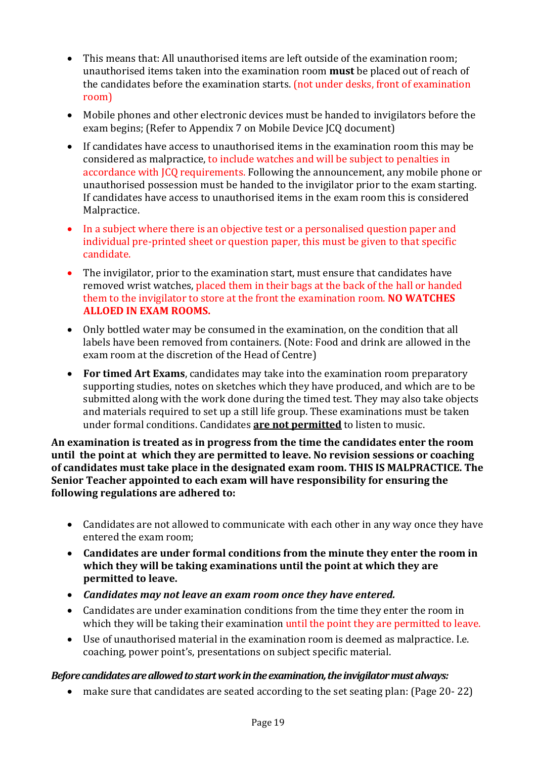- This means that: All unauthorised items are left outside of the examination room; unauthorised items taken into the examination room **must** be placed out of reach of the candidates before the examination starts. (not under desks, front of examination room)
- Mobile phones and other electronic devices must be handed to invigilators before the exam begins; (Refer to Appendix 7 on Mobile Device JCQ document)
- If candidates have access to unauthorised items in the examination room this may be considered as malpractice, to include watches and will be subject to penalties in accordance with JCQ requirements. Following the announcement, any mobile phone or unauthorised possession must be handed to the invigilator prior to the exam starting. If candidates have access to unauthorised items in the exam room this is considered Malpractice.
- In a subject where there is an objective test or a personalised question paper and individual pre-printed sheet or question paper, this must be given to that specific candidate.
- The invigilator, prior to the examination start, must ensure that candidates have removed wrist watches, placed them in their bags at the back of the hall or handed them to the invigilator to store at the front the examination room. **NO WATCHES ALLOED IN EXAM ROOMS.**
- Only bottled water may be consumed in the examination, on the condition that all labels have been removed from containers. (Note: Food and drink are allowed in the exam room at the discretion of the Head of Centre)
- For timed Art Exams, candidates may take into the examination room preparatory supporting studies, notes on sketches which they have produced, and which are to be submitted along with the work done during the timed test. They may also take objects and materials required to set up a still life group. These examinations must be taken under formal conditions. Candidates **are not permitted** to listen to music.

An examination is treated as in progress from the time the candidates enter the room **until the point at which they are permitted to leave. No revision sessions or coaching** of candidates must take place in the designated exam room. THIS IS MALPRACTICE. The **Senior Teacher appointed to each exam will have responsibility for ensuring the following regulations are adhered to:** 

- Candidates are not allowed to communicate with each other in any way once they have entered the exam room;
- Candidates are under formal conditions from the minute they enter the room in which they will be taking examinations until the point at which they are **permitted** to leave.
- Candidates may not leave an exam room once they have entered.
- Candidates are under examination conditions from the time they enter the room in which they will be taking their examination until the point they are permitted to leave.
- $\bullet$  Use of unauthorised material in the examination room is deemed as malpractice. I.e. coaching, power point's, presentations on subject specific material.

#### Before candidates are allowed to start work in the examination, the invigilator must always:

• make sure that candidates are seated according to the set seating plan: (Page 20-22)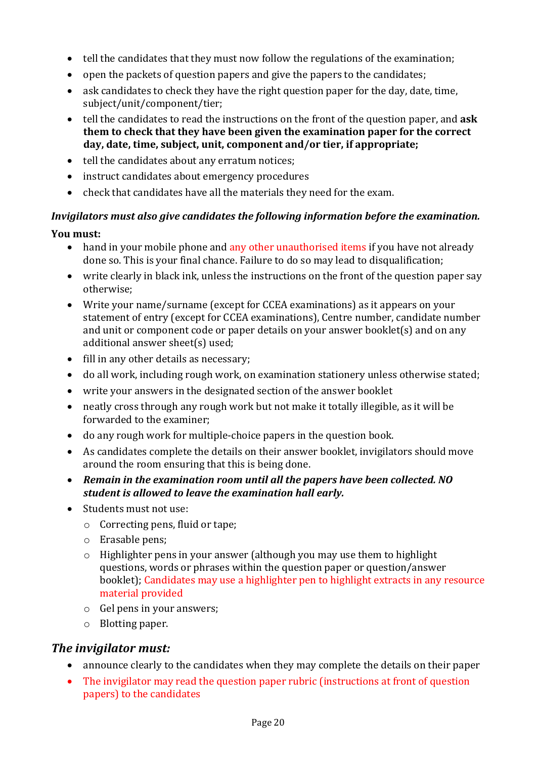- $\bullet$  tell the candidates that they must now follow the regulations of the examination;
- open the packets of question papers and give the papers to the candidates;
- ask candidates to check they have the right question paper for the day, date, time, subject/unit/component/tier;
- tell the candidates to read the instructions on the front of the question paper, and **ask them** to check that they have been given the examination paper for the correct day, date, time, subject, unit, component and/or tier, if appropriate;
- $\bullet$  tell the candidates about any erratum notices;
- $\bullet$  instruct candidates about emergency procedures
- check that candidates have all the materials they need for the exam.

### *Invigilators must also give candidates the following information before the examination.*

#### **You must:**

- hand in your mobile phone and any other unauthorised items if you have not already done so. This is your final chance. Failure to do so may lead to disqualification;
- write clearly in black ink, unless the instructions on the front of the question paper say otherwise;
- Write your name/surname (except for CCEA examinations) as it appears on your statement of entry (except for CCEA examinations), Centre number, candidate number and unit or component code or paper details on your answer booklet(s) and on any additional answer sheet(s) used;
- $\bullet$  fill in any other details as necessary;
- do all work, including rough work, on examination stationery unless otherwise stated;
- write your answers in the designated section of the answer booklet
- neatly cross through any rough work but not make it totally illegible, as it will be forwarded to the examiner;
- do any rough work for multiple-choice papers in the question book.
- As candidates complete the details on their answer booklet, invigilators should move around the room ensuring that this is being done.
- Remain in the examination room until all the papers have been collected. NO student is allowed to leave the examination hall early.
- Students must not use:
	- $\circ$  Correcting pens, fluid or tape;
	- $\circ$  Erasable pens;
	- $\circ$  Highlighter pens in your answer (although you may use them to highlight questions, words or phrases within the question paper or question/answer booklet); Candidates may use a highlighter pen to highlight extracts in any resource material provided
	- $\circ$  Gel pens in your answers;
	- $\circ$  Blotting paper.

#### *The invigilator must:*

- announce clearly to the candidates when they may complete the details on their paper
- The invigilator may read the question paper rubric (instructions at front of question papers) to the candidates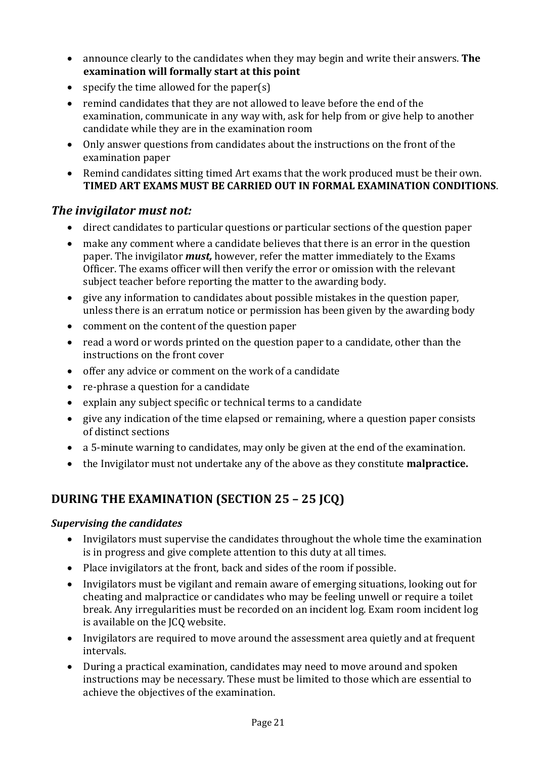- announce clearly to the candidates when they may begin and write their answers. **The examination will formally start at this point**
- specify the time allowed for the paper(s)
- remind candidates that they are not allowed to leave before the end of the examination, communicate in any way with, ask for help from or give help to another candidate while they are in the examination room
- Only answer questions from candidates about the instructions on the front of the examination paper
- Remind candidates sitting timed Art exams that the work produced must be their own. TIMED ART EXAMS MUST BE CARRIED OUT IN FORMAL EXAMINATION CONDITIONS.

#### *The invigilator must not:*

- direct candidates to particular questions or particular sections of the question paper
- make any comment where a candidate believes that there is an error in the question paper. The invigilator *must*, however, refer the matter immediately to the Exams Officer. The exams officer will then verify the error or omission with the relevant subject teacher before reporting the matter to the awarding body.
- give any information to candidates about possible mistakes in the question paper, unless there is an erratum notice or permission has been given by the awarding body
- $\bullet$  comment on the content of the question paper
- read a word or words printed on the question paper to a candidate, other than the instructions on the front cover
- offer any advice or comment on the work of a candidate
- re-phrase a question for a candidate
- $\bullet$  explain any subject specific or technical terms to a candidate
- give any indication of the time elapsed or remaining, where a question paper consists of distinct sections
- a 5-minute warning to candidates, may only be given at the end of the examination.
- the Invigilator must not undertake any of the above as they constitute **malpractice.**

# **DURING THE EXAMINATION (SECTION 25 - 25 JCQ)**

#### **Supervising the candidates**

- Invigilators must supervise the candidates throughout the whole time the examination is in progress and give complete attention to this duty at all times.
- Place invigilators at the front, back and sides of the room if possible.
- Invigilators must be vigilant and remain aware of emerging situations, looking out for cheating and malpractice or candidates who may be feeling unwell or require a toilet break. Any irregularities must be recorded on an incident log. Exam room incident log is available on the JCQ website.
- Invigilators are required to move around the assessment area quietly and at frequent intervals.
- During a practical examination, candidates may need to move around and spoken instructions may be necessary. These must be limited to those which are essential to achieve the objectives of the examination.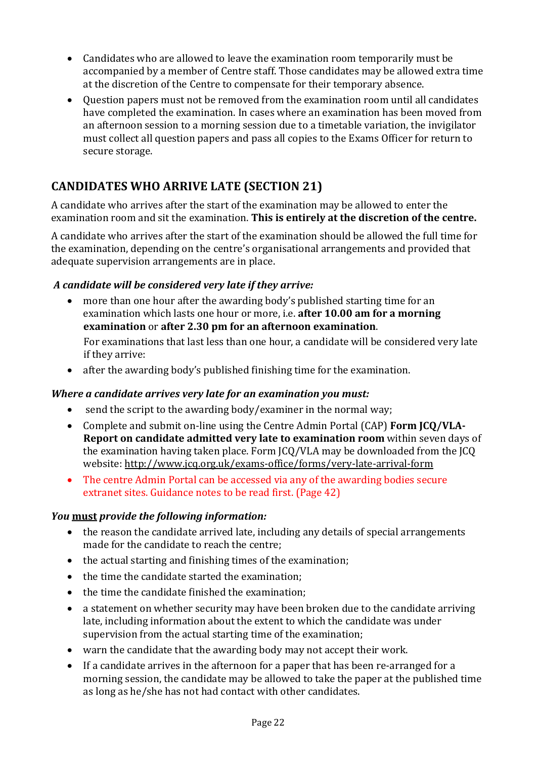- Candidates who are allowed to leave the examination room temporarily must be accompanied by a member of Centre staff. Those candidates may be allowed extra time at the discretion of the Centre to compensate for their temporary absence.
- Ouestion papers must not be removed from the examination room until all candidates have completed the examination. In cases where an examination has been moved from an afternoon session to a morning session due to a timetable variation, the invigilator must collect all question papers and pass all copies to the Exams Officer for return to secure storage.

# **CANDIDATES WHO ARRIVE LATE (SECTION 21)**

A candidate who arrives after the start of the examination may be allowed to enter the examination room and sit the examination. This is entirely at the discretion of the centre.

A candidate who arrives after the start of the examination should be allowed the full time for the examination, depending on the centre's organisational arrangements and provided that adequate supervision arrangements are in place.

#### *A candidate will be considered very late if they arrive:*

• more than one hour after the awarding body's published starting time for an examination which lasts one hour or more, i.e. **after 10.00 am for a morning examination** or after 2.30 pm for an afternoon examination.

For examinations that last less than one hour, a candidate will be considered very late if they arrive:

• after the awarding body's published finishing time for the examination.

#### *Where a candidate arrives very late for an examination vou must:*

- send the script to the awarding body/examiner in the normal way:
- Complete and submit on-line using the Centre Admin Portal (CAP) Form JCQ/VLA-**Report on candidate admitted very late to examination room** within seven days of the examination having taken place. Form  $ICQ/VLA$  may be downloaded from the  $ICQ$ website: http://www.jcq.org.uk/exams-office/forms/very-late-arrival-form
- The centre Admin Portal can be accessed via any of the awarding bodies secure extranet sites. Guidance notes to be read first. (Page 42)

#### *You* must provide the following information:

- $\bullet$  the reason the candidate arrived late, including any details of special arrangements made for the candidate to reach the centre;
- $\bullet$  the actual starting and finishing times of the examination;
- $\bullet$  the time the candidate started the examination;
- $\bullet$  the time the candidate finished the examination:
- a statement on whether security may have been broken due to the candidate arriving late, including information about the extent to which the candidate was under supervision from the actual starting time of the examination;
- warn the candidate that the awarding body may not accept their work.
- If a candidate arrives in the afternoon for a paper that has been re-arranged for a morning session, the candidate may be allowed to take the paper at the published time as long as he/she has not had contact with other candidates.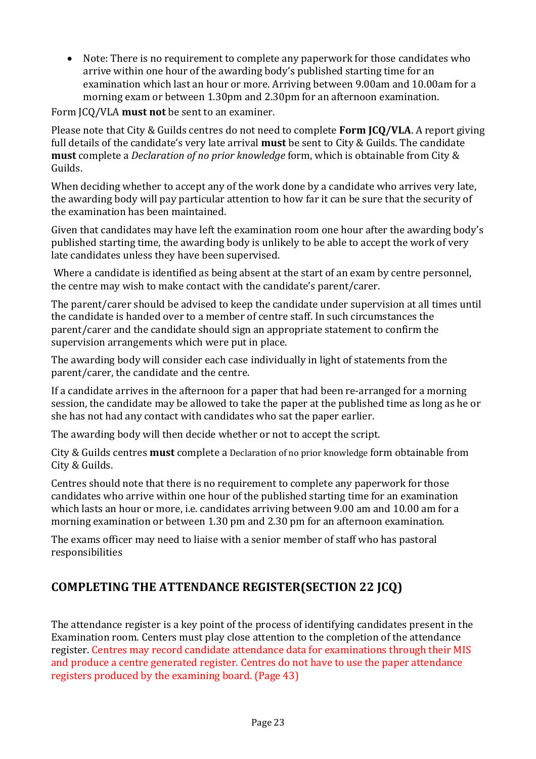• Note: There is no requirement to complete any paperwork for those candidates who arrive within one hour of the awarding body's published starting time for an examination which last an hour or more. Arriving between 9.00am and 10.00am for a morning exam or between 1.30pm and 2.30pm for an afternoon examination.

Form ICQ/VLA **must not** be sent to an examiner.

Please note that City & Guilds centres do not need to complete **Form JCQ/VLA**. A report giving full details of the candidate's very late arrival **must** be sent to City & Guilds. The candidate **must** complete a *Declaration of no prior knowledge* form, which is obtainable from City & Guilds.

When deciding whether to accept any of the work done by a candidate who arrives very late, the awarding body will pay particular attention to how far it can be sure that the security of the examination has been maintained.

Given that candidates may have left the examination room one hour after the awarding body's published starting time, the awarding body is unlikely to be able to accept the work of very late candidates unless they have been supervised.

Where a candidate is identified as being absent at the start of an exam by centre personnel. the centre may wish to make contact with the candidate's parent/carer.

The parent/carer should be advised to keep the candidate under supervision at all times until the candidate is handed over to a member of centre staff. In such circumstances the parent/carer and the candidate should sign an appropriate statement to confirm the supervision arrangements which were put in place.

The awarding body will consider each case individually in light of statements from the parent/carer, the candidate and the centre.

If a candidate arrives in the afternoon for a paper that had been re-arranged for a morning session, the candidate may be allowed to take the paper at the published time as long as he or she has not had any contact with candidates who sat the paper earlier.

The awarding body will then decide whether or not to accept the script.

City & Guilds centres **must** complete a Declaration of no prior knowledge form obtainable from City & Guilds.

Centres should note that there is no requirement to complete any paperwork for those candidates who arrive within one hour of the published starting time for an examination which lasts an hour or more, i.e. candidates arriving between 9.00 am and 10.00 am for a morning examination or between 1.30 pm and 2.30 pm for an afternoon examination.

The exams officer may need to liaise with a senior member of staff who has pastoral responsibilities

# **COMPLETING THE ATTENDANCE REGISTER(SECTION 22 JCQ)**

The attendance register is a key point of the process of identifying candidates present in the Examination room. Centers must play close attention to the completion of the attendance register. Centres may record candidate attendance data for examinations through their MIS and produce a centre generated register. Centres do not have to use the paper attendance registers produced by the examining board. (Page 43)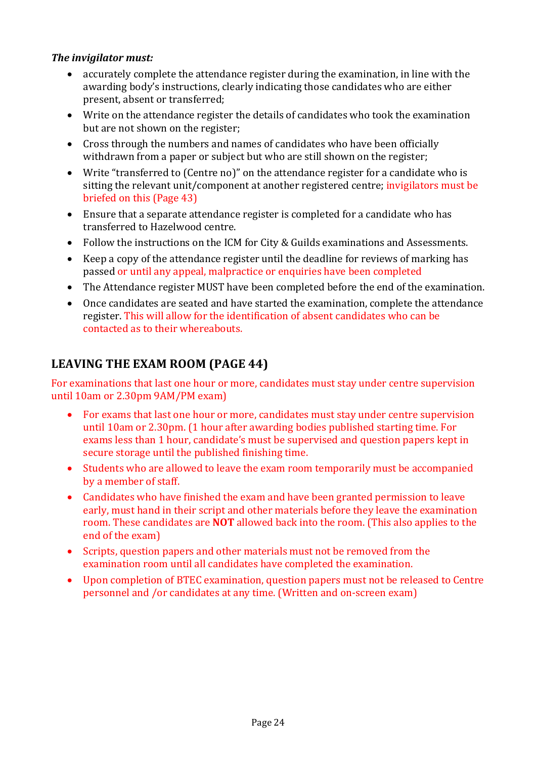#### *The invigilator must:*

- accurately complete the attendance register during the examination, in line with the awarding body's instructions, clearly indicating those candidates who are either present, absent or transferred;
- Write on the attendance register the details of candidates who took the examination but are not shown on the register;
- Cross through the numbers and names of candidates who have been officially withdrawn from a paper or subject but who are still shown on the register;
- Write "transferred to (Centre no)" on the attendance register for a candidate who is sitting the relevant unit/component at another registered centre; invigilators must be briefed on this (Page 43)
- Ensure that a separate attendance register is completed for a candidate who has transferred to Hazelwood centre.
- Follow the instructions on the ICM for City & Guilds examinations and Assessments.
- Keep a copy of the attendance register until the deadline for reviews of marking has passed or until any appeal, malpractice or enquiries have been completed
- The Attendance register MUST have been completed before the end of the examination.
- Once candidates are seated and have started the examination, complete the attendance register. This will allow for the identification of absent candidates who can be contacted as to their whereabouts.

# **LEAVING THE EXAM ROOM (PAGE 44)**

For examinations that last one hour or more, candidates must stay under centre supervision until 10am or 2.30pm 9AM/PM exam)

- For exams that last one hour or more, candidates must stay under centre supervision until 10am or 2.30pm. (1 hour after awarding bodies published starting time. For exams less than 1 hour, candidate's must be supervised and question papers kept in secure storage until the published finishing time.
- Students who are allowed to leave the exam room temporarily must be accompanied by a member of staff.
- Candidates who have finished the exam and have been granted permission to leave early, must hand in their script and other materials before they leave the examination room. These candidates are **NOT** allowed back into the room. (This also applies to the end of the exam)
- Scripts, question papers and other materials must not be removed from the examination room until all candidates have completed the examination.
- Upon completion of BTEC examination, question papers must not be released to Centre personnel and /or candidates at any time. (Written and on-screen exam)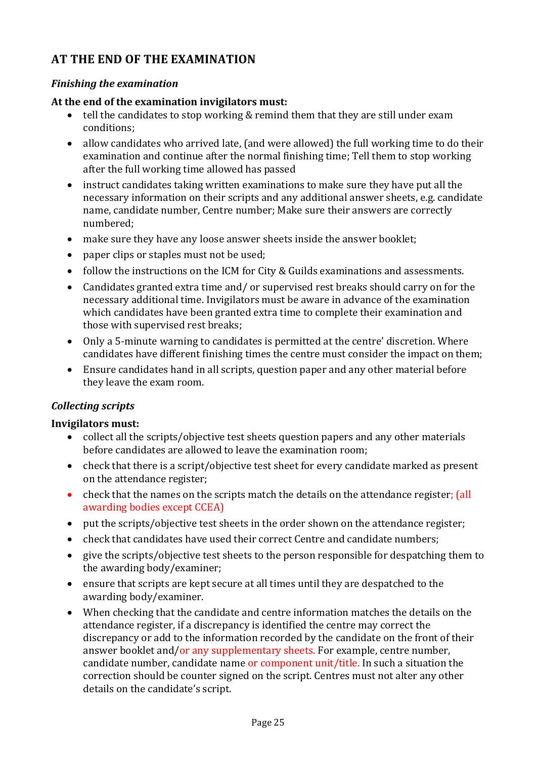# **AT THE END OF THE EXAMINATION**

#### **Finishing the examination**

#### At the end of the examination invigilators must:

- tell the candidates to stop working & remind them that they are still under exam conditions;
- allow candidates who arrived late, (and were allowed) the full working time to do their examination and continue after the normal finishing time; Tell them to stop working after the full working time allowed has passed
- instruct candidates taking written examinations to make sure they have put all the necessary information on their scripts and any additional answer sheets, e.g. candidate name, candidate number, Centre number; Make sure their answers are correctly numbered;
- make sure they have any loose answer sheets inside the answer booklet;
- paper clips or staples must not be used;
- follow the instructions on the ICM for City & Guilds examinations and assessments.
- Candidates granted extra time and/ or supervised rest breaks should carry on for the necessary additional time. Invigilators must be aware in advance of the examination which candidates have been granted extra time to complete their examination and those with supervised rest breaks;
- Only a 5-minute warning to candidates is permitted at the centre' discretion. Where candidates have different finishing times the centre must consider the impact on them;
- Ensure candidates hand in all scripts, question paper and any other material before they leave the exam room.

#### *Collecting scripts*

#### **Invigilators must:**

- collect all the scripts/objective test sheets question papers and any other materials before candidates are allowed to leave the examination room;
- check that there is a script/objective test sheet for every candidate marked as present on the attendance register;
- check that the names on the scripts match the details on the attendance register; (all awarding bodies except CCEA)
- put the scripts/objective test sheets in the order shown on the attendance register;
- check that candidates have used their correct Centre and candidate numbers;
- give the scripts/objective test sheets to the person responsible for despatching them to the awarding body/examiner;
- ensure that scripts are kept secure at all times until they are despatched to the awarding body/examiner.
- When checking that the candidate and centre information matches the details on the attendance register, if a discrepancy is identified the centre may correct the discrepancy or add to the information recorded by the candidate on the front of their answer booklet and/or any supplementary sheets. For example, centre number, candidate number, candidate name or component unit/title. In such a situation the correction should be counter signed on the script. Centres must not alter any other details on the candidate's script.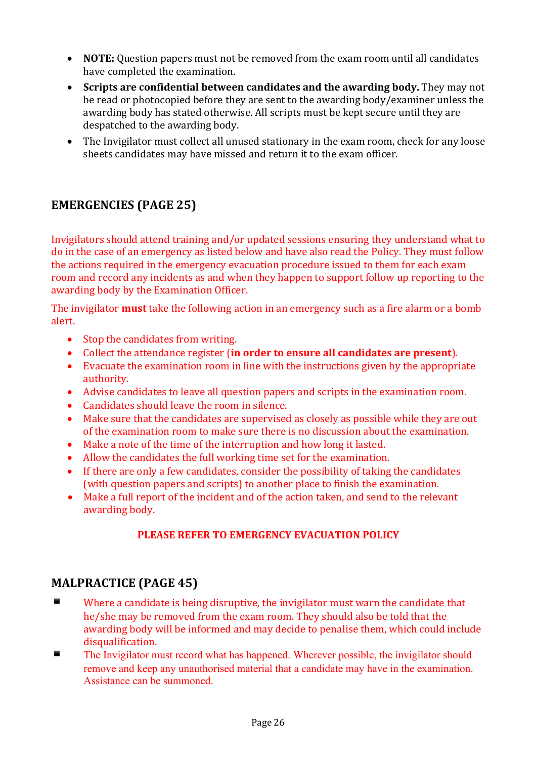- **NOTE:** Question papers must not be removed from the exam room until all candidates have completed the examination.
- Scripts are confidential between candidates and the awarding body. They may not be read or photocopied before they are sent to the awarding body/examiner unless the awarding body has stated otherwise. All scripts must be kept secure until they are despatched to the awarding body.
- The Invigilator must collect all unused stationary in the exam room, check for any loose sheets candidates may have missed and return it to the exam officer.

# **EMERGENCIES (PAGE 25)**

Invigilators should attend training and/or updated sessions ensuring they understand what to do in the case of an emergency as listed below and have also read the Policy. They must follow the actions required in the emergency evacuation procedure issued to them for each exam room and record any incidents as and when they happen to support follow up reporting to the awarding body by the Examination Officer.

The invigilator **must** take the following action in an emergency such as a fire alarm or a bomb alert.

- $\bullet$  Stop the candidates from writing.
- Collect the attendance register (in order to ensure all candidates are present).
- Evacuate the examination room in line with the instructions given by the appropriate authority.
- Advise candidates to leave all question papers and scripts in the examination room.
- Candidates should leave the room in silence.
- Make sure that the candidates are supervised as closely as possible while they are out of the examination room to make sure there is no discussion about the examination.
- Make a note of the time of the interruption and how long it lasted.
- Allow the candidates the full working time set for the examination.
- If there are only a few candidates, consider the possibility of taking the candidates (with question papers and scripts) to another place to finish the examination.
- Make a full report of the incident and of the action taken, and send to the relevant awarding body.

#### **PLEASE REFER TO EMERGENCY EVACUATION POLICY**

#### **MALPRACTICE (PAGE 45)**

- $\blacksquare$  Where a candidate is being disruptive, the invigilator must warn the candidate that he/she may be removed from the exam room. They should also be told that the awarding body will be informed and may decide to penalise them, which could include disqualification.
- The Invigilator must record what has happened. Wherever possible, the invigilator should remove and keep any unauthorised material that a candidate may have in the examination. Assistance can be summoned.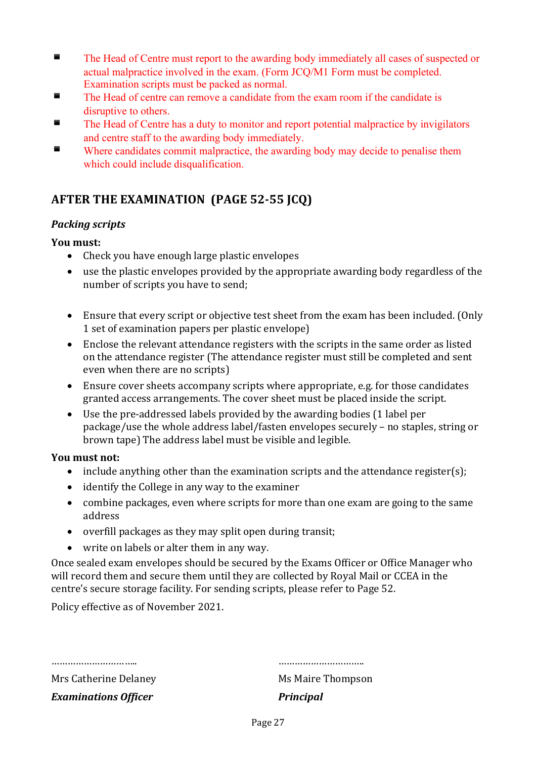- The Head of Centre must report to the awarding body immediately all cases of suspected or actual malpractice involved in the exam. (Form JCQ/M1 Form must be completed. Examination scripts must be packed as normal.
- The Head of centre can remove a candidate from the exam room if the candidate is disruptive to others.
- The Head of Centre has a duty to monitor and report potential malpractice by invigilators and centre staff to the awarding body immediately.
- Where candidates commit malpractice, the awarding body may decide to penalise them which could include disqualification.

# **AFTER THE EXAMINATION (PAGE 52-55 JCQ)**

#### **Packing scripts**

#### **You must:**

- $\bullet$  Check vou have enough large plastic envelopes
- use the plastic envelopes provided by the appropriate awarding body regardless of the number of scripts you have to send;
- Ensure that every script or objective test sheet from the exam has been included. (Only 1 set of examination papers per plastic envelope)
- Enclose the relevant attendance registers with the scripts in the same order as listed on the attendance register (The attendance register must still be completed and sent even when there are no scripts)
- Ensure cover sheets accompany scripts where appropriate, e.g. for those candidates granted access arrangements. The cover sheet must be placed inside the script.
- Use the pre-addressed labels provided by the awarding bodies  $(1)$  label per package/use the whole address label/fasten envelopes securely – no staples, string or brown tape) The address label must be visible and legible.

#### **You must not:**

- include anything other than the examination scripts and the attendance register(s);
- $\bullet$  identify the College in any way to the examiner
- combine packages, even where scripts for more than one exam are going to the same address
- $\bullet$  overfill packages as they may split open during transit;
- write on labels or alter them in any way.

Once sealed exam envelopes should be secured by the Exams Officer or Office Manager who will record them and secure them until they are collected by Royal Mail or CCEA in the centre's secure storage facility. For sending scripts, please refer to Page 52.

Policy effective as of November 2021.

………………………….. …………………………..

Mrs Catherine Delaney Ms Maire Thompson **Examinations Officer** *Principal*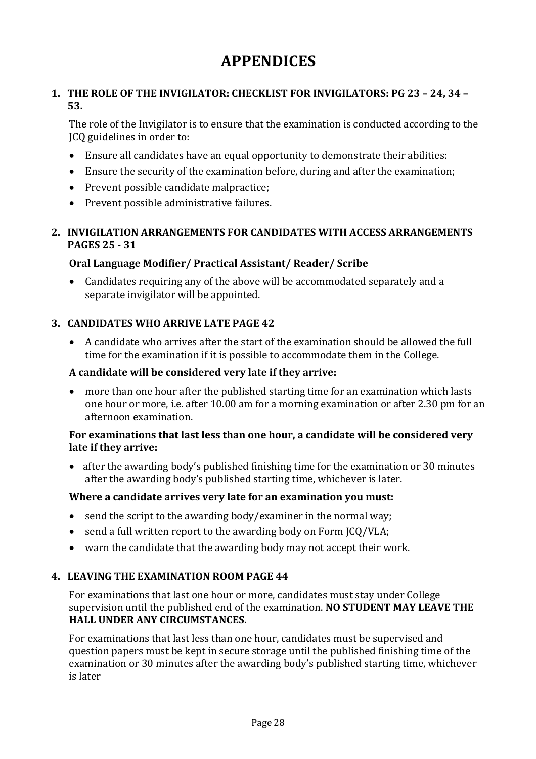# **APPENDICES**

#### **1. THE ROLE OF THE INVIGILATOR: CHECKLIST FOR INVIGILATORS: PG 23 - 24, 34 -53.**

The role of the Invigilator is to ensure that the examination is conducted according to the ICQ guidelines in order to:

- $\bullet$  Ensure all candidates have an equal opportunity to demonstrate their abilities:
- Ensure the security of the examination before, during and after the examination;
- Prevent possible candidate malpractice:
- Prevent possible administrative failures.

#### **2. INVIGILATION ARRANGEMENTS FOR CANDIDATES WITH ACCESS ARRANGEMENTS PAGES 25 - 31**

#### **Oral Language Modifier/ Practical Assistant/ Reader/ Scribe**

• Candidates requiring any of the above will be accommodated separately and a separate invigilator will be appointed.

#### **3. CANDIDATES WHO ARRIVE LATE PAGE 42**

• A candidate who arrives after the start of the examination should be allowed the full time for the examination if it is possible to accommodate them in the College.

#### A candidate will be considered very late if they arrive:

• more than one hour after the published starting time for an examination which lasts one hour or more, i.e. after 10.00 am for a morning examination or after 2.30 pm for an afternoon examination. 

#### For examinations that last less than one hour, a candidate will be considered very late if they arrive:

• after the awarding body's published finishing time for the examination or 30 minutes after the awarding body's published starting time, whichever is later.

#### **Where a candidate arrives very late for an examination you must:**

- send the script to the awarding body/examiner in the normal way;
- send a full written report to the awarding body on Form JCQ/VLA;
- warn the candidate that the awarding body may not accept their work.

#### **4. LEAVING THE EXAMINATION ROOM PAGE 44**

For examinations that last one hour or more, candidates must stay under College supervision until the published end of the examination. **NO STUDENT MAY LEAVE THE HALL UNDER ANY CIRCUMSTANCES.** 

For examinations that last less than one hour, candidates must be supervised and question papers must be kept in secure storage until the published finishing time of the examination or 30 minutes after the awarding body's published starting time, whichever is later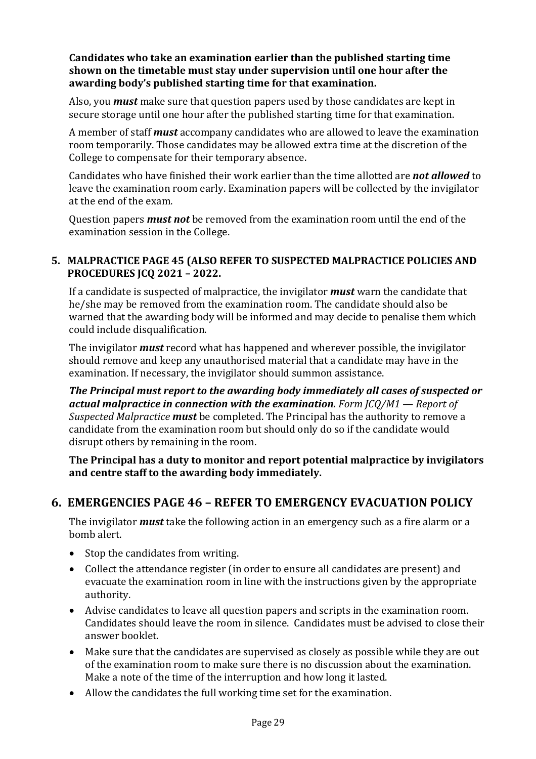**Candidates who take an examination earlier than the published starting time shown on the timetable must stay under supervision until one hour after the** awarding body's published starting time for that examination.

Also, you *must* make sure that question papers used by those candidates are kept in secure storage until one hour after the published starting time for that examination.

A member of staff **must** accompany candidates who are allowed to leave the examination room temporarily. Those candidates may be allowed extra time at the discretion of the College to compensate for their temporary absence.

Candidates who have finished their work earlier than the time allotted are *not allowed* to leave the examination room early. Examination papers will be collected by the invigilator at the end of the exam.

Question papers *must not* be removed from the examination room until the end of the examination session in the College.

#### **5. MALPRACTICE PAGE 45 (ALSO REFER TO SUSPECTED MALPRACTICE POLICIES AND PROCEDURES JCQ 2021 – 2022.**

If a candidate is suspected of malpractice, the invigilator **must** warn the candidate that he/she may be removed from the examination room. The candidate should also be warned that the awarding body will be informed and may decide to penalise them which could include disqualification.

The invigilator *must* record what has happened and wherever possible, the invigilator should remove and keep any unauthorised material that a candidate may have in the examination. If necessary, the invigilator should summon assistance.

**The Principal must report to the awarding body immediately all cases of suspected or** *actual malpractice in connection with the examination. Form*  $\text{ICO}/\text{M1}$  *— Report of Suspected Malpractice must* be completed. The Principal has the authority to remove a candidate from the examination room but should only do so if the candidate would disrupt others by remaining in the room.

**The Principal has a duty to monitor and report potential malpractice by invigilators** and centre staff to the awarding body immediately.

#### **6. EMERGENCIES PAGE 46 – REFER TO EMERGENCY EVACUATION POLICY**

The invigilator *must* take the following action in an emergency such as a fire alarm or a bomb alert. 

- $\bullet$  Stop the candidates from writing.
- Collect the attendance register (in order to ensure all candidates are present) and evacuate the examination room in line with the instructions given by the appropriate authority.
- Advise candidates to leave all question papers and scripts in the examination room. Candidates should leave the room in silence. Candidates must be advised to close their answer booklet.
- Make sure that the candidates are supervised as closely as possible while they are out of the examination room to make sure there is no discussion about the examination. Make a note of the time of the interruption and how long it lasted.
- Allow the candidates the full working time set for the examination.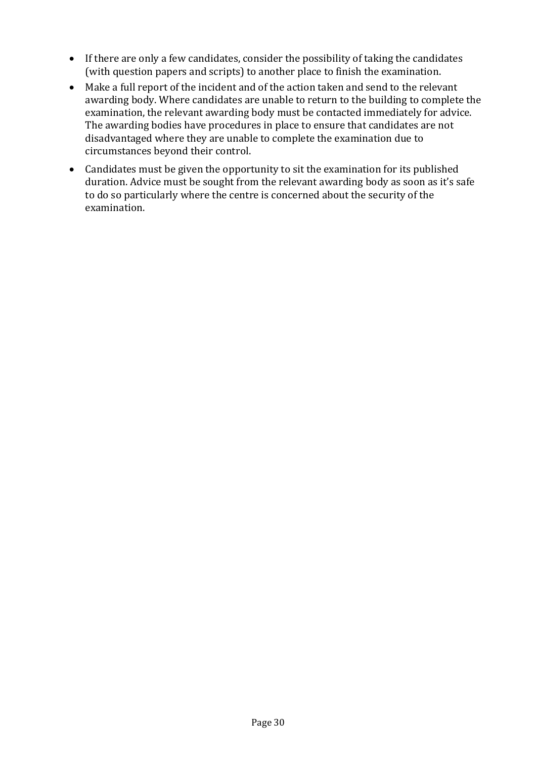- If there are only a few candidates, consider the possibility of taking the candidates (with question papers and scripts) to another place to finish the examination.
- Make a full report of the incident and of the action taken and send to the relevant awarding body. Where candidates are unable to return to the building to complete the examination, the relevant awarding body must be contacted immediately for advice. The awarding bodies have procedures in place to ensure that candidates are not disadvantaged where they are unable to complete the examination due to circumstances beyond their control.
- Candidates must be given the opportunity to sit the examination for its published duration. Advice must be sought from the relevant awarding body as soon as it's safe to do so particularly where the centre is concerned about the security of the examination.